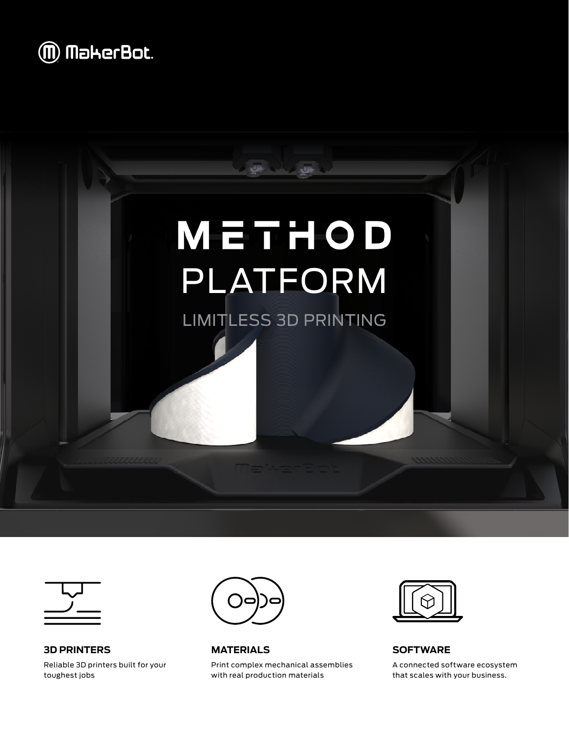





**3D PRINTERS** Reliable 3D printers built for your toughest jobs



**MATERIALS**

Print complex mechanical assemblies with real production materials



**SOFTWARE**

A connected software ecosystem that scales with your business.